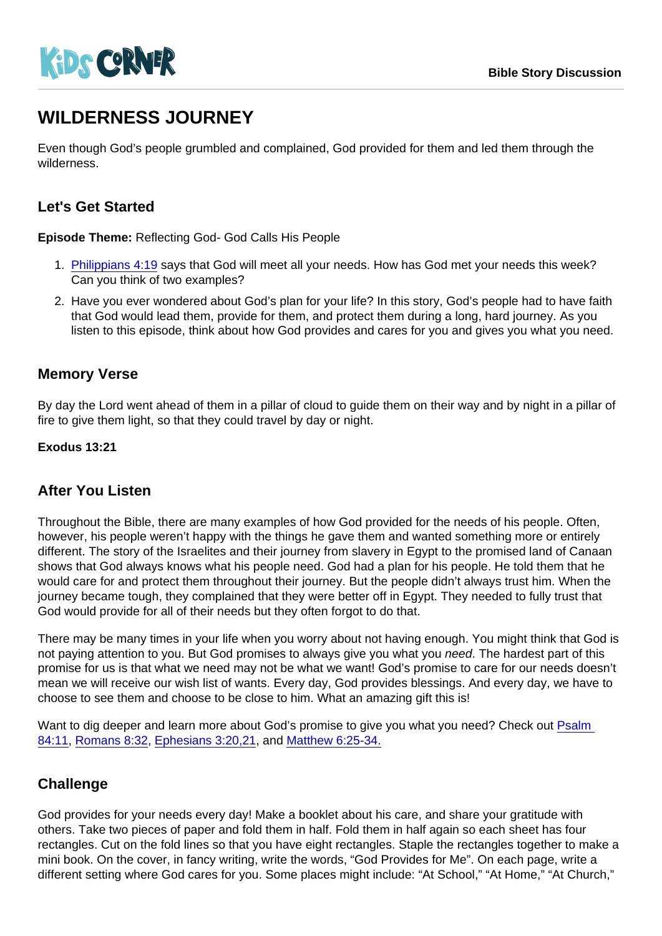# WILDERNESS JOURNEY

Even though God's people grumbled and complained, God provided for them and led them through the wilderness.

## Let's Get Started

Episode Theme: Reflecting God- God Calls His People

- 1. [Philippians 4:19](https://www.biblegateway.com/passage/?search=Philippians+4:19&version=NIV) says that God will meet all your needs. How has God met your needs this week? Can you think of two examples?
- 2. Have you ever wondered about God's plan for your life? In this story, God's people had to have faith that God would lead them, provide for them, and protect them during a long, hard journey. As you listen to this episode, think about how God provides and cares for you and gives you what you need.

#### Memory Verse

By day the Lord went ahead of them in a pillar of cloud to guide them on their way and by night in a pillar of fire to give them light, so that they could travel by day or night.

Exodus 13:21

#### After You Listen

Throughout the Bible, there are many examples of how God provided for the needs of his people. Often, however, his people weren't happy with the things he gave them and wanted something more or entirely different. The story of the Israelites and their journey from slavery in Egypt to the promised land of Canaan shows that God always knows what his people need. God had a plan for his people. He told them that he would care for and protect them throughout their journey. But the people didn't always trust him. When the journey became tough, they complained that they were better off in Egypt. They needed to fully trust that God would provide for all of their needs but they often forgot to do that.

There may be many times in your life when you worry about not having enough. You might think that God is not paying attention to you. But God promises to always give you what you need. The hardest part of this promise for us is that what we need may not be what we want! God's promise to care for our needs doesn't mean we will receive our wish list of wants. Every day, God provides blessings. And every day, we have to choose to see them and choose to be close to him. What an amazing gift this is!

Want to dig deeper and learn more about God's promise to give you what you need? Check out Psalm [84:11,](https://www.biblegateway.com/passage/?search=psalm+84:11&version=NIV) [Romans 8:32](https://www.biblegateway.com/passage/?search=romans+8:32&version=NIV), [Ephesians 3:20,21](https://www.biblegateway.com/passage/?search=ephesians+3:20-21&version=NIV), and [Matthew 6:25-34.](https://www.biblegateway.com/passage/?search=matthew+6:25-34&version=NIV)

#### **Challenge**

God provides for your needs every day! Make a booklet about his care, and share your gratitude with others. Take two pieces of paper and fold them in half. Fold them in half again so each sheet has four rectangles. Cut on the fold lines so that you have eight rectangles. Staple the rectangles together to make a mini book. On the cover, in fancy writing, write the words, "God Provides for Me". On each page, write a different setting where God cares for you. Some places might include: "At School," "At Home," "At Church,"